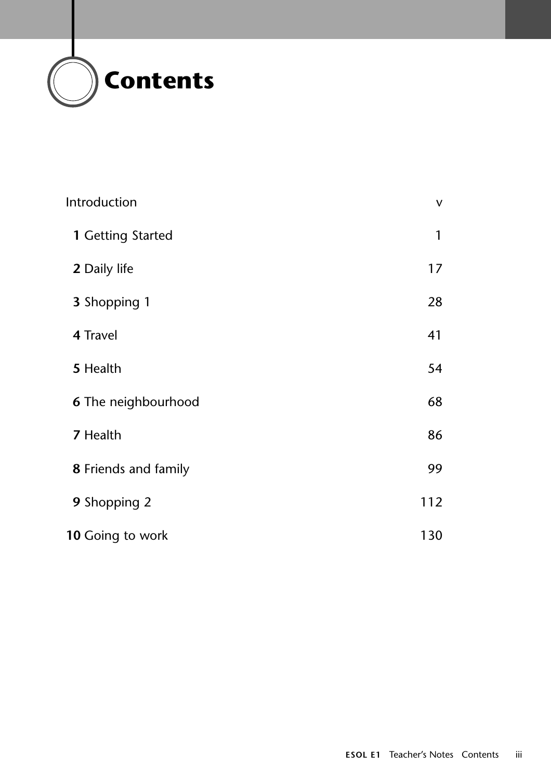

| Introduction         | $\mathsf{V}$ |
|----------------------|--------------|
| 1 Getting Started    | 1            |
| 2 Daily life         | 17           |
| 3 Shopping 1         | 28           |
| 4 Travel             | 41           |
| 5 Health             | 54           |
| 6 The neighbourhood  | 68           |
| 7 Health             | 86           |
| 8 Friends and family | 99           |
| 9 Shopping 2         | 112          |
| 10 Going to work     | 130          |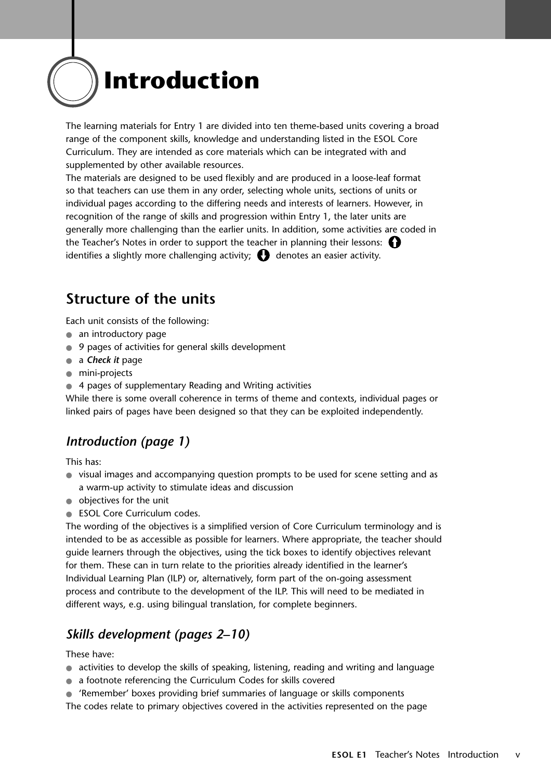

The learning materials for Entry 1 are divided into ten theme-based units covering a broad range of the component skills, knowledge and understanding listed in the ESOL Core Curriculum. They are intended as core materials which can be integrated with and supplemented by other available resources.

The materials are designed to be used flexibly and are produced in a loose-leaf format so that teachers can use them in any order, selecting whole units, sections of units or individual pages according to the differing needs and interests of learners. However, in recognition of the range of skills and progression within Entry 1, the later units are generally more challenging than the earlier units. In addition, some activities are coded in the Teacher's Notes in order to support the teacher in planning their lessons: identifies a slightly more challenging activity;  $\bigodot$  denotes an easier activity.

## **Structure of the units**

Each unit consists of the following:

- an introductory page
- 9 pages of activities for general skills development
- a *Check it* page
- mini-projects
- 4 pages of supplementary Reading and Writing activities

While there is some overall coherence in terms of theme and contexts, individual pages or linked pairs of pages have been designed so that they can be exploited independently.

### *Introduction (page 1)*

This has:

- visual images and accompanying question prompts to be used for scene setting and as a warm-up activity to stimulate ideas and discussion
- objectives for the unit
- ESOL Core Curriculum codes.

The wording of the objectives is a simplified version of Core Curriculum terminology and is intended to be as accessible as possible for learners. Where appropriate, the teacher should guide learners through the objectives, using the tick boxes to identify objectives relevant for them. These can in turn relate to the priorities already identified in the learner's Individual Learning Plan (ILP) or, alternatively, form part of the on-going assessment process and contribute to the development of the ILP. This will need to be mediated in different ways, e.g. using bilingual translation, for complete beginners.

### *Skills development (pages 2–10)*

These have:

- activities to develop the skills of speaking, listening, reading and writing and language
- a footnote referencing the Curriculum Codes for skills covered
- 'Remember' boxes providing brief summaries of language or skills components
- The codes relate to primary objectives covered in the activities represented on the page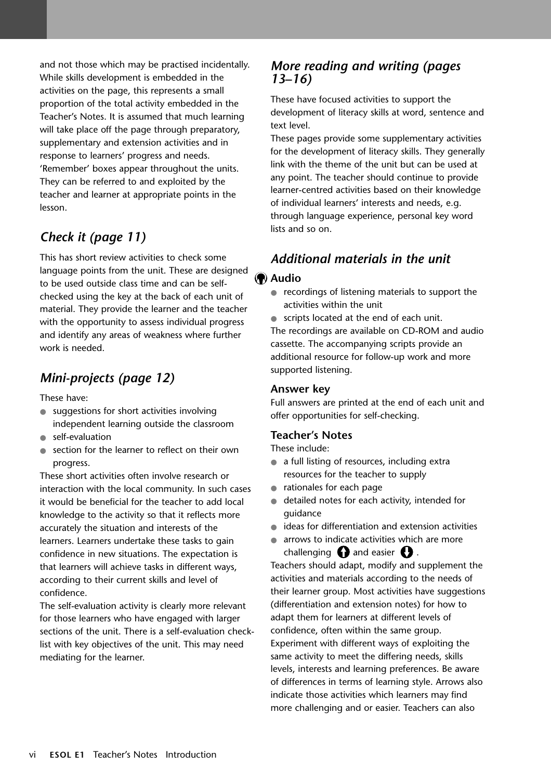and not those which may be practised incidentally. While skills development is embedded in the activities on the page, this represents a small proportion of the total activity embedded in the Teacher's Notes. It is assumed that much learning will take place off the page through preparatory, supplementary and extension activities and in response to learners' progress and needs. 'Remember' boxes appear throughout the units. They can be referred to and exploited by the teacher and learner at appropriate points in the lesson.

## *Check it (page 11)*

This has short review activities to check some language points from the unit. These are designed to be used outside class time and can be selfchecked using the key at the back of each unit of material. They provide the learner and the teacher with the opportunity to assess individual progress and identify any areas of weakness where further work is needed.

## *Mini-projects (page 12)*

These have:

- suggestions for short activities involving independent learning outside the classroom
- self-evaluation
- section for the learner to reflect on their own progress.

These short activities often involve research or interaction with the local community. In such cases it would be beneficial for the teacher to add local knowledge to the activity so that it reflects more accurately the situation and interests of the learners. Learners undertake these tasks to gain confidence in new situations. The expectation is that learners will achieve tasks in different ways, according to their current skills and level of confidence.

The self-evaluation activity is clearly more relevant for those learners who have engaged with larger sections of the unit. There is a self-evaluation checklist with key objectives of the unit. This may need mediating for the learner.

## *More reading and writing (pages 13–16)*

These have focused activities to support the development of literacy skills at word, sentence and text level.

These pages provide some supplementary activities for the development of literacy skills. They generally link with the theme of the unit but can be used at any point. The teacher should continue to provide learner-centred activities based on their knowledge of individual learners' interests and needs, e.g. through language experience, personal key word lists and so on.

## *Additional materials in the unit*

#### **Audio**

- recordings of listening materials to support the activities within the unit
- scripts located at the end of each unit.

The recordings are available on CD-ROM and audio cassette. The accompanying scripts provide an additional resource for follow-up work and more supported listening.

#### **Answer key**

Full answers are printed at the end of each unit and offer opportunities for self-checking.

#### **Teacher's Notes**

These include:

- a full listing of resources, including extra resources for the teacher to supply
- rationales for each page
- detailed notes for each activity, intended for guidance
- ideas for differentiation and extension activities
- arrows to indicate activities which are more challenging  $\bigcap$  and easier  $\bigcap$ .

Teachers should adapt, modify and supplement the activities and materials according to the needs of their learner group. Most activities have suggestions (differentiation and extension notes) for how to adapt them for learners at different levels of confidence, often within the same group. Experiment with different ways of exploiting the same activity to meet the differing needs, skills levels, interests and learning preferences. Be aware of differences in terms of learning style. Arrows also indicate those activities which learners may find more challenging and or easier. Teachers can also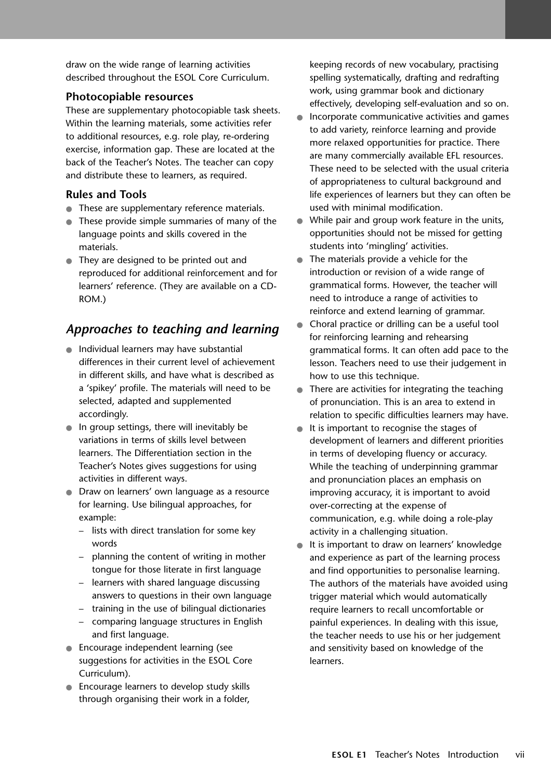draw on the wide range of learning activities described throughout the ESOL Core Curriculum.

#### **Photocopiable resources**

These are supplementary photocopiable task sheets. Within the learning materials, some activities refer to additional resources, e.g. role play, re-ordering exercise, information gap. These are located at the back of the Teacher's Notes. The teacher can copy and distribute these to learners, as required.

#### **Rules and Tools**

- These are supplementary reference materials.
- These provide simple summaries of many of the language points and skills covered in the materials.
- They are designed to be printed out and reproduced for additional reinforcement and for learners' reference. (They are available on a CD-ROM.)

## *Approaches to teaching and learning*

- Individual learners may have substantial differences in their current level of achievement in different skills, and have what is described as a 'spikey' profile. The materials will need to be selected, adapted and supplemented accordingly.
- In group settings, there will inevitably be variations in terms of skills level between learners. The Differentiation section in the Teacher's Notes gives suggestions for using activities in different ways.
- Draw on learners' own language as a resource for learning. Use bilingual approaches, for example:
	- lists with direct translation for some key words
	- planning the content of writing in mother tongue for those literate in first language
	- learners with shared language discussing answers to questions in their own language
	- training in the use of bilingual dictionaries
	- comparing language structures in English and first language.
- Encourage independent learning (see suggestions for activities in the ESOL Core Curriculum).
- Encourage learners to develop study skills through organising their work in a folder,

keeping records of new vocabulary, practising spelling systematically, drafting and redrafting work, using grammar book and dictionary effectively, developing self-evaluation and so on.

- Incorporate communicative activities and games to add variety, reinforce learning and provide more relaxed opportunities for practice. There are many commercially available EFL resources. These need to be selected with the usual criteria of appropriateness to cultural background and life experiences of learners but they can often be used with minimal modification.
- While pair and group work feature in the units, opportunities should not be missed for getting students into 'mingling' activities.
- The materials provide a vehicle for the introduction or revision of a wide range of grammatical forms. However, the teacher will need to introduce a range of activities to reinforce and extend learning of grammar.
- Choral practice or drilling can be a useful tool for reinforcing learning and rehearsing grammatical forms. It can often add pace to the lesson. Teachers need to use their judgement in how to use this technique.
- There are activities for integrating the teaching of pronunciation. This is an area to extend in relation to specific difficulties learners may have.
- It is important to recognise the stages of development of learners and different priorities in terms of developing fluency or accuracy. While the teaching of underpinning grammar and pronunciation places an emphasis on improving accuracy, it is important to avoid over-correcting at the expense of communication, e.g. while doing a role-play activity in a challenging situation.
- It is important to draw on learners' knowledge and experience as part of the learning process and find opportunities to personalise learning. The authors of the materials have avoided using trigger material which would automatically require learners to recall uncomfortable or painful experiences. In dealing with this issue, the teacher needs to use his or her judgement and sensitivity based on knowledge of the learners.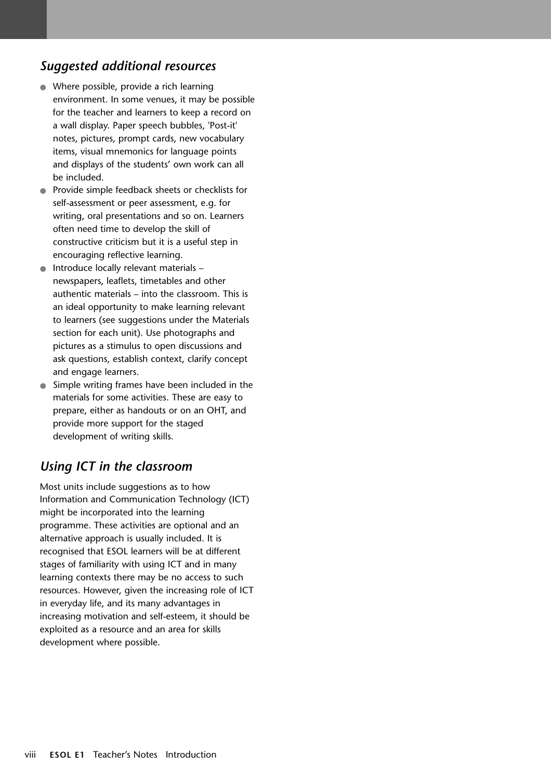## *Suggested additional resources*

- Where possible, provide a rich learning environment. In some venues, it may be possible for the teacher and learners to keep a record on a wall display. Paper speech bubbles, 'Post-it' notes, pictures, prompt cards, new vocabulary items, visual mnemonics for language points and displays of the students' own work can all be included.
- Provide simple feedback sheets or checklists for self-assessment or peer assessment, e.g. for writing, oral presentations and so on. Learners often need time to develop the skill of constructive criticism but it is a useful step in encouraging reflective learning.
- Introduce locally relevant materials newspapers, leaflets, timetables and other authentic materials – into the classroom. This is an ideal opportunity to make learning relevant to learners (see suggestions under the Materials section for each unit). Use photographs and pictures as a stimulus to open discussions and ask questions, establish context, clarify concept and engage learners.
- Simple writing frames have been included in the materials for some activities. These are easy to prepare, either as handouts or on an OHT, and provide more support for the staged development of writing skills.

## *Using ICT in the classroom*

Most units include suggestions as to how Information and Communication Technology (ICT) might be incorporated into the learning programme. These activities are optional and an alternative approach is usually included. It is recognised that ESOL learners will be at different stages of familiarity with using ICT and in many learning contexts there may be no access to such resources. However, given the increasing role of ICT in everyday life, and its many advantages in increasing motivation and self-esteem, it should be exploited as a resource and an area for skills development where possible.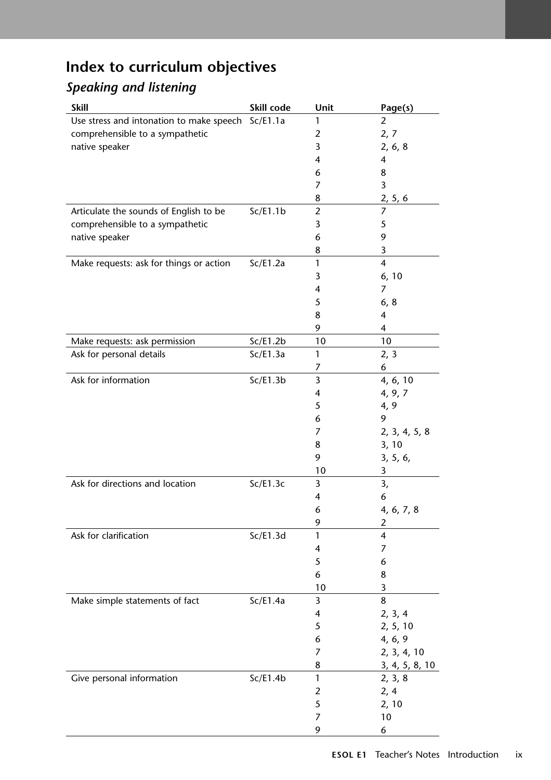# **Index to curriculum objectives**

## *Speaking and listening*

| <b>Skill</b>                                      | Skill code | Unit           | Page(s)                 |
|---------------------------------------------------|------------|----------------|-------------------------|
| Use stress and intonation to make speech Sc/E1.1a |            | 1              | 2                       |
| comprehensible to a sympathetic                   |            | 2              | 2, 7                    |
| native speaker                                    |            | 3              | 2, 6, 8                 |
|                                                   |            | 4              | 4                       |
|                                                   |            | 6              | 8                       |
|                                                   |            | 7              | 3                       |
|                                                   |            | 8              | 2, 5, 6                 |
| Articulate the sounds of English to be            | Sc/E1.1b   | $\overline{2}$ | $\overline{7}$          |
| comprehensible to a sympathetic                   |            | 3              | 5                       |
| native speaker                                    |            | 6              | 9                       |
|                                                   |            | 8              | 3                       |
| Make requests: ask for things or action           | Sc/E1.2a   | 1              | $\overline{4}$          |
|                                                   |            | 3              | 6, 10                   |
|                                                   |            | 4              | 7                       |
|                                                   |            | 5              | 6, 8                    |
|                                                   |            | 8              | 4                       |
|                                                   |            | 9              | 4                       |
| Make requests: ask permission                     | Sc/E1.2b   | 10             | 10                      |
| Ask for personal details                          | Sc/E1.3a   | 1              | 2, 3                    |
|                                                   |            | 7              | 6                       |
| Ask for information                               | Sc/E1.3b   | 3              | 4, 6, 10                |
|                                                   |            | 4              | 4, 9, 7                 |
|                                                   |            | 5              | 4, 9                    |
|                                                   |            | 6              | 9                       |
|                                                   |            | 7              | 2, 3, 4, 5, 8           |
|                                                   |            | 8              | 3, 10                   |
|                                                   |            | 9              | 3, 5, 6,                |
|                                                   |            | 10             | 3                       |
| Ask for directions and location                   | Sc/E1.3c   | 3              | 3,                      |
|                                                   |            | 4              | 6                       |
|                                                   |            | 6              | 4, 6, 7, 8              |
|                                                   |            | 9              | $\overline{2}$          |
| Ask for clarification                             | Sc/E1.3d   | 1              | $\overline{\mathbf{4}}$ |
|                                                   |            | 4              | 7                       |
|                                                   |            | 5              | 6                       |
|                                                   |            | 6              | 8                       |
|                                                   |            | 10             | 3                       |
| Make simple statements of fact                    | Sc/E1.4a   | 3              | 8                       |
|                                                   |            | 4              | 2, 3, 4                 |
|                                                   |            | 5              | 2, 5, 10                |
|                                                   |            | 6              | 4, 6, 9                 |
|                                                   |            | 7              | 2, 3, 4, 10             |
|                                                   |            | 8              | 3, 4, 5, 8, 10          |
| Give personal information                         | Sc/E1.4b   | 1              | 2, 3, 8                 |
|                                                   |            | 2              | 2, 4                    |
|                                                   |            | 5              | 2, 10                   |
|                                                   |            | 7              | 10                      |
|                                                   |            | 9              | 6                       |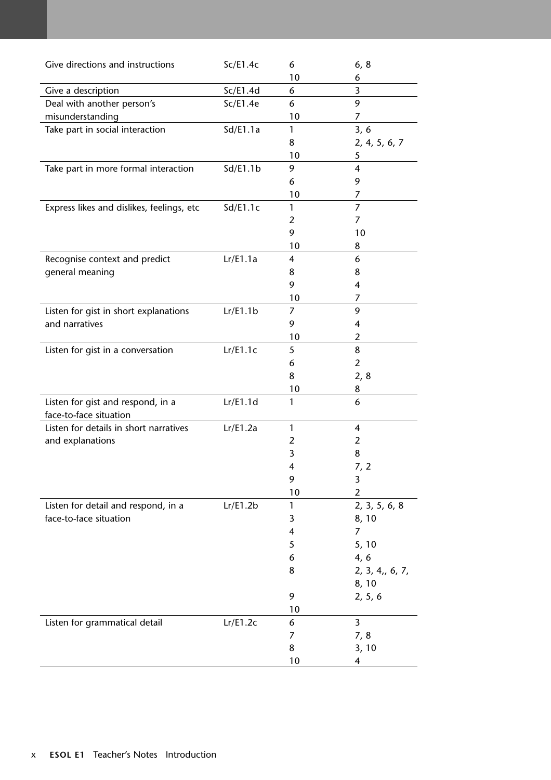| Give directions and instructions                            | Sc/E1.4c | 6              | 6, 8                    |
|-------------------------------------------------------------|----------|----------------|-------------------------|
| Give a description                                          | Sc/E1.4d | 10<br>6        | 6<br>3                  |
| Deal with another person's                                  | Sc/E1.4e | 6              | 9                       |
| misunderstanding                                            |          | 10             | 7                       |
| Take part in social interaction                             | Sd/El.1a | 1              | 3, 6                    |
|                                                             |          | 8              | 2, 4, 5, 6, 7           |
|                                                             |          | 10             | 5                       |
| Take part in more formal interaction                        | Sd/El.1b | 9              | $\overline{4}$          |
|                                                             |          | 6              | 9                       |
|                                                             |          | 10             | 7                       |
| Express likes and dislikes, feelings, etc                   | Sd/El.1c | 1              | $\overline{7}$          |
|                                                             |          | 2              | 7                       |
|                                                             |          | 9              | 10                      |
|                                                             |          | 10             | 8                       |
| Recognise context and predict                               | Lr/E1.1a | 4              | 6                       |
| general meaning                                             |          | 8              | 8                       |
|                                                             |          | 9              | 4                       |
|                                                             |          | 10             | 7                       |
| Listen for gist in short explanations                       | Lr/E1.1b | 7              | 9                       |
| and narratives                                              |          | 9              | $\overline{\mathbf{4}}$ |
|                                                             |          | 10             | $\overline{2}$          |
| Listen for gist in a conversation                           | Lr/E1.1c | 5              | 8                       |
|                                                             |          | 6              | $\overline{2}$          |
|                                                             |          | 8              | 2, 8                    |
|                                                             |          | 10             | 8                       |
| Listen for gist and respond, in a<br>face-to-face situation | Lr/E1.1d | 1              | 6                       |
| Listen for details in short narratives                      | Lr/E1.2a | $\mathbf{1}$   | 4                       |
| and explanations                                            |          | $\overline{2}$ | $\overline{2}$          |
|                                                             |          | 3              | 8                       |
|                                                             |          | 4              | 7, 2                    |
|                                                             |          | 9              | 3                       |
|                                                             |          | 10             | $\overline{2}$          |
| Listen for detail and respond, in a                         | Lr/E1.2b | 1              | 2, 3, 5, 6, 8           |
| face-to-face situation                                      |          | 3              | 8, 10                   |
|                                                             |          | 4              | 7                       |
|                                                             |          | 5              | 5, 10                   |
|                                                             |          | 6              | 4, 6                    |
|                                                             |          | 8              | 2, 3, 4,, 6, 7,         |
|                                                             |          |                | 8, 10                   |
|                                                             |          | 9              | 2, 5, 6                 |
|                                                             |          | 10             |                         |
| Listen for grammatical detail                               | Lr/E1.2c | 6              | $\overline{3}$          |
|                                                             |          | 7              | 7,8                     |
|                                                             |          | 8              | 3, 10                   |
|                                                             |          | 10             | 4                       |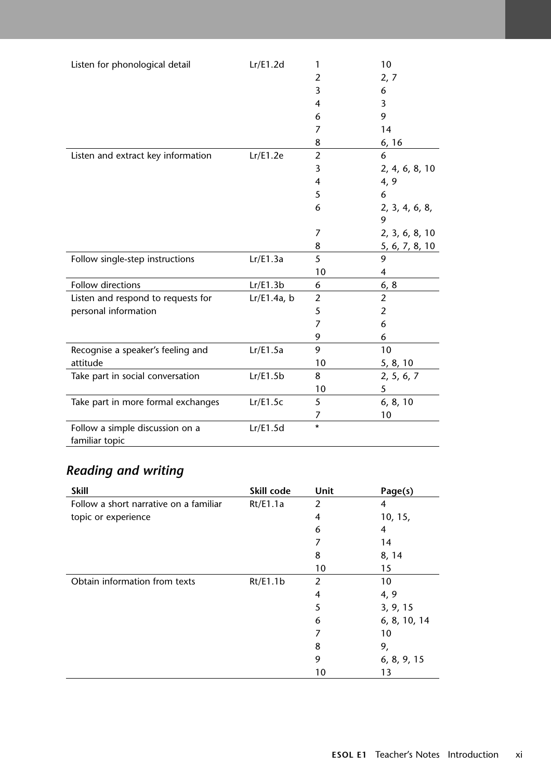|                                    |             |                | 10             |
|------------------------------------|-------------|----------------|----------------|
| Listen for phonological detail     | Lr/E1.2d    | 1              |                |
|                                    |             | $\overline{2}$ | 2, 7           |
|                                    |             | 3              | 6              |
|                                    |             | 4              | 3              |
|                                    |             | 6              | 9              |
|                                    |             | 7              | 14             |
|                                    |             | 8              | 6, 16          |
| Listen and extract key information | Lr/E1.2e    | $\overline{2}$ | 6              |
|                                    |             | 3              | 2, 4, 6, 8, 10 |
|                                    |             | 4              | 4, 9           |
|                                    |             | 5              | 6              |
|                                    |             | 6              | 2, 3, 4, 6, 8, |
|                                    |             |                | 9              |
|                                    |             | 7              | 2, 3, 6, 8, 10 |
|                                    |             | 8              | 5, 6, 7, 8, 10 |
| Follow single-step instructions    | Lr/E1.3a    | 5              | 9              |
|                                    |             | 10             | 4              |
| Follow directions                  | Lr/E1.3b    | 6              | 6, 8           |
| Listen and respond to requests for | Lr/E1.4a, b | $\overline{2}$ | $\overline{2}$ |
| personal information               |             | 5              | $\overline{2}$ |
|                                    |             | 7              | 6              |
|                                    |             | 9              | 6              |
| Recognise a speaker's feeling and  | Lr/E1.5a    | 9              | 10             |
| attitude                           |             | 10             | 5, 8, 10       |
| Take part in social conversation   | Lr/E1.5b    | 8              | 2, 5, 6, 7     |
|                                    |             | 10             | 5              |
| Take part in more formal exchanges | Lr/E1.5c    | 5              | 6, 8, 10       |
|                                    |             | 7              | 10             |
| Follow a simple discussion on a    | Lr/E1.5d    | $\star$        |                |
| familiar topic                     |             |                |                |
|                                    |             |                |                |

# *Reading and writing*

| <b>Skill</b>                           | Skill code | <b>Unit</b> | Page(s)      |
|----------------------------------------|------------|-------------|--------------|
| Follow a short narrative on a familiar | Rt/E1.1a   | 2           | 4            |
| topic or experience                    |            | 4           | 10, 15,      |
|                                        |            | 6           | 4            |
|                                        |            | 7           | 14           |
|                                        |            | 8           | 8, 14        |
|                                        |            | 10          | 15           |
| Obtain information from texts          | Rt/E1.1b   | 2           | 10           |
|                                        |            | 4           | 4, 9         |
|                                        |            | 5           | 3, 9, 15     |
|                                        |            | 6           | 6, 8, 10, 14 |
|                                        |            | 7           | 10           |
|                                        |            | 8           | 9,           |
|                                        |            | 9           | 6, 8, 9, 15  |
|                                        |            | 10          | 13           |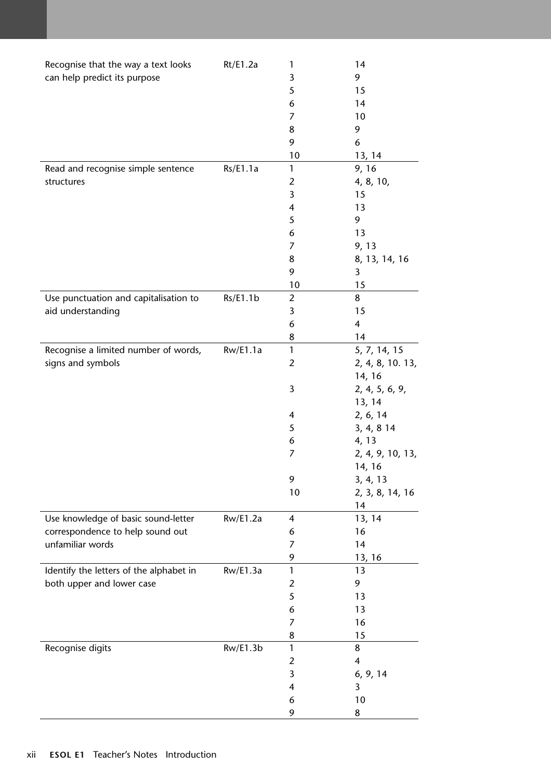| Recognise that the way a text looks     | Rt/E1.2a | 1              | 14                      |
|-----------------------------------------|----------|----------------|-------------------------|
| can help predict its purpose            |          | 3              | 9                       |
|                                         |          | 5              | 15                      |
|                                         |          | 6              | 14                      |
|                                         |          | 7              | 10                      |
|                                         |          | 8              | 9                       |
|                                         |          | 9              | 6                       |
|                                         |          | 10             | 13, 14                  |
| Read and recognise simple sentence      | Rs/E1.1a | 1              | 9, 16                   |
| structures                              |          | $\overline{2}$ | 4, 8, 10,               |
|                                         |          | 3              | 15                      |
|                                         |          | 4              | 13                      |
|                                         |          | 5              | 9                       |
|                                         |          | 6              | 13                      |
|                                         |          | 7              | 9, 13                   |
|                                         |          | 8              | 8, 13, 14, 16           |
|                                         |          | 9              | 3                       |
|                                         |          | 10             | 15                      |
| Use punctuation and capitalisation to   | Rs/E1.1b | $\overline{2}$ | 8                       |
| aid understanding                       |          | 3              | 15                      |
|                                         |          | 6              | $\overline{\mathbf{4}}$ |
|                                         |          | 8              | 14                      |
| Recognise a limited number of words,    | Rw/E1.1a | $\mathbf{1}$   | 5, 7, 14, 15            |
| signs and symbols                       |          | $\overline{2}$ | 2, 4, 8, 10. 13,        |
|                                         |          |                | 14, 16                  |
|                                         |          | 3              | 2, 4, 5, 6, 9,          |
|                                         |          |                | 13, 14                  |
|                                         |          | 4              | 2, 6, 14                |
|                                         |          | 5              | 3, 4, 8 14              |
|                                         |          | 6              | 4, 13                   |
|                                         |          | 7              | 2, 4, 9, 10, 13,        |
|                                         |          |                | 14, 16                  |
|                                         |          | 9              | 3, 4, 13                |
|                                         |          | 10             | 2, 3, 8, 14, 16         |
|                                         |          |                | 14                      |
| Use knowledge of basic sound-letter     | Rw/E1.2a | 4              | 13, 14                  |
| correspondence to help sound out        |          | 6              | 16                      |
| unfamiliar words                        |          | 7              | 14                      |
|                                         |          | 9              | 13, 16                  |
| Identify the letters of the alphabet in | Rw/E1.3a | 1              | 13                      |
| both upper and lower case               |          | 2              | 9                       |
|                                         |          | 5              | 13                      |
|                                         |          | 6              | 13                      |
|                                         |          | 7              | 16                      |
|                                         |          | 8              | 15                      |
| Recognise digits                        | Rw/E1.3b | 1              | 8                       |
|                                         |          | 2              | 4                       |
|                                         |          | 3              | 6, 9, 14                |
|                                         |          | 4              | 3                       |
|                                         |          | 6              | 10                      |
|                                         |          | 9              | 8                       |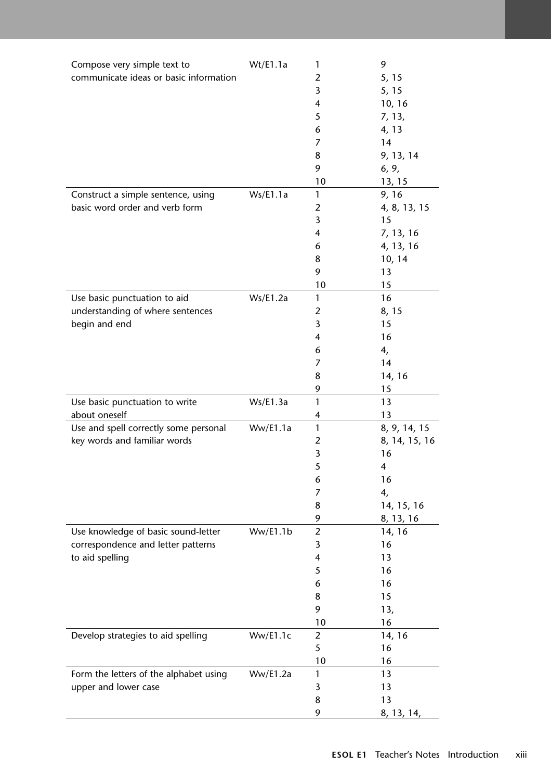| Compose very simple text to            | Wt/E1.1a | 1              | 9             |
|----------------------------------------|----------|----------------|---------------|
| communicate ideas or basic information |          | $\overline{2}$ | 5, 15         |
|                                        |          | 3              | 5, 15         |
|                                        |          | 4              | 10, 16        |
|                                        |          | 5              | 7, 13,        |
|                                        |          | 6              | 4, 13         |
|                                        |          | 7              | 14            |
|                                        |          | 8              | 9, 13, 14     |
|                                        |          | 9              | 6, 9,         |
|                                        |          | 10             | 13, 15        |
| Construct a simple sentence, using     | Ws/E1.1a | 1              | 9, 16         |
| basic word order and verb form         |          | 2              | 4, 8, 13, 15  |
|                                        |          | 3              | 15            |
|                                        |          | 4              | 7, 13, 16     |
|                                        |          | 6              | 4, 13, 16     |
|                                        |          | 8              | 10, 14        |
|                                        |          | 9              | 13            |
|                                        |          | 10             | 15            |
| Use basic punctuation to aid           | Ws/E1.2a | 1              | 16            |
| understanding of where sentences       |          | 2              | 8, 15         |
| begin and end                          |          | 3              | 15            |
|                                        |          | 4              | 16            |
|                                        |          | 6              | 4,            |
|                                        |          | 7              | 14            |
|                                        |          | 8              | 14, 16        |
|                                        |          | 9              | 15            |
| Use basic punctuation to write         | Ws/E1.3a | 1              | 13            |
| about oneself                          |          | 4              | 13            |
| Use and spell correctly some personal  | Ww/E1.1a | 1              | 8, 9, 14, 15  |
| key words and familiar words           |          | $\overline{2}$ | 8, 14, 15, 16 |
|                                        |          | 3              | 16            |
|                                        |          | 5              | 4             |
|                                        |          | 6              | 16            |
|                                        |          | 7              | 4,            |
|                                        |          | 8              | 14, 15, 16    |
|                                        |          | 9              | 8, 13, 16     |
| Use knowledge of basic sound-letter    | Ww/E1.1b | $\overline{2}$ | 14, 16        |
| correspondence and letter patterns     |          | 3              | 16            |
| to aid spelling                        |          | 4              | 13            |
|                                        |          | 5              | 16            |
|                                        |          | 6              | 16            |
|                                        |          | 8              | 15            |
|                                        |          | 9              | 13,           |
|                                        |          | 10             | 16            |
| Develop strategies to aid spelling     | Ww/E1.1c | $\overline{2}$ | 14, 16        |
|                                        |          | 5              | 16            |
|                                        |          | 10             | 16            |
| Form the letters of the alphabet using | Ww/E1.2a | 1              | 13            |
| upper and lower case                   |          | 3              | 13            |
|                                        |          | 8              | 13            |
|                                        |          | 9              | 8, 13, 14,    |